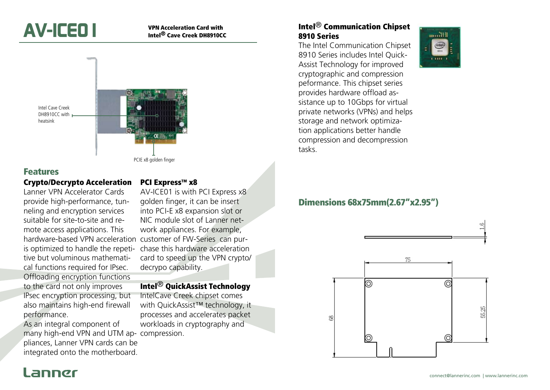

# Intel® Cave Creek DH8910CC



### Features

#### Crypto/Decrypto Acceleration

Lanner VPN Accelerator Cards provide high-performance, tunneling and encryption services suitable for site-to-site and remote access applications. This hardware-based VPN acceleration customer of FW-Series can purtive but voluminous mathematical functions required for IPsec. Offloading encryption functions to the card not only improves IPsec encryption processing, but also maintains high-end firewall performance.

As an integral component of many high-end VPN and UTM ap-compression. pliances, Lanner VPN cards can be integrated onto the motherboard.

#### PCI Express™ x8

is optimized to handle the repeti-chase this hardware acceleration AV-ICE01 is with PCI Express x8 golden finger, it can be insert into PCI-E x8 expansion slot or NIC module slot of Lanner network appliances. For example, card to speed up the VPN crypto/ decrypo capability.

#### Intel® QuickAssist Technology

IntelCave Creek chipset comes with QuickAssist™ technology, it processes and accelerates packet workloads in cryptography and

### Intel® Communication Chipset 8910 Series

The Intel Communication Chipset 8910 Series includes Intel Quick-Assist Technology for improved cryptographic and compression peformance. This chipset series provides hardware offload assistance up to 10Gbps for virtual private networks (VPNs) and helps storage and network optimization applications better handle compression and decompression tasks.



## Dimensions 68x75mm(2.67"x2.95")



## annør